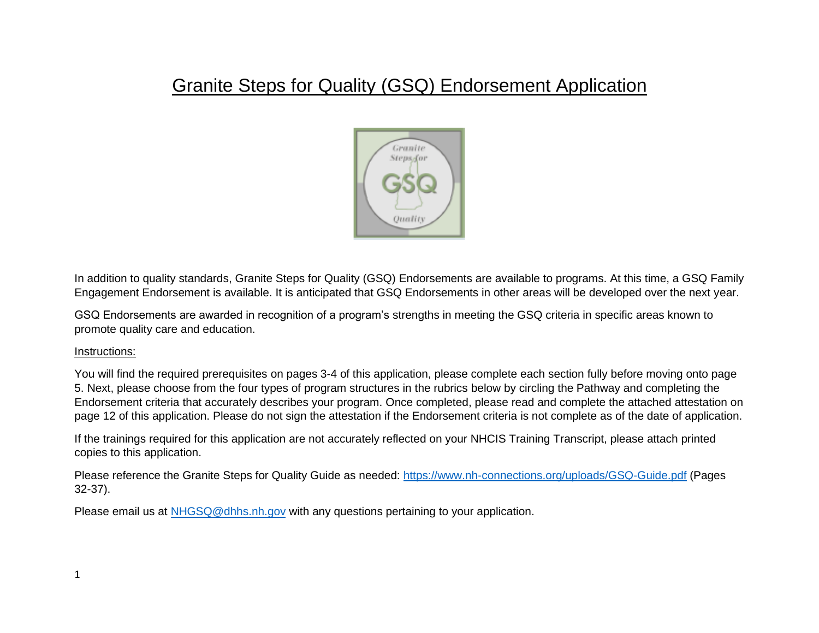## Granite Steps for Quality (GSQ) Endorsement Application



In addition to quality standards, Granite Steps for Quality (GSQ) Endorsements are available to programs. At this time, a GSQ Family Engagement Endorsement is available. It is anticipated that GSQ Endorsements in other areas will be developed over the next year.

GSQ Endorsements are awarded in recognition of a program's strengths in meeting the GSQ criteria in specific areas known to promote quality care and education.

### Instructions:

You will find the required prerequisites on pages 3-4 of this application, please complete each section fully before moving onto page 5. Next, please choose from the four types of program structures in the rubrics below by circling the Pathway and completing the Endorsement criteria that accurately describes your program. Once completed, please read and complete the attached attestation on page 12 of this application. Please do not sign the attestation if the Endorsement criteria is not complete as of the date of application.

If the trainings required for this application are not accurately reflected on your NHCIS Training Transcript, please attach printed copies to this application.

Please reference the Granite Steps for Quality Guide as needed:<https://www.nh-connections.org/uploads/GSQ-Guide.pdf> (Pages 32-37).

Please email us at [NHGSQ@dhhs.nh.gov](mailto:NHGSQ@dhhs.nh.gov) with any questions pertaining to your application.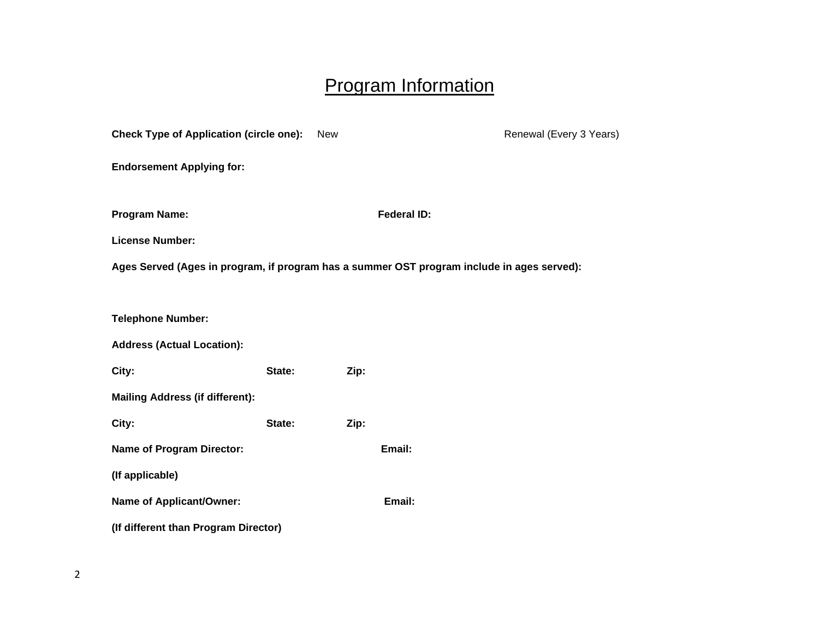# Program Information

| <b>Check Type of Application (circle one):</b>                                             |        | <b>New</b> |                    | Renewal (Every 3 Years) |
|--------------------------------------------------------------------------------------------|--------|------------|--------------------|-------------------------|
| <b>Endorsement Applying for:</b>                                                           |        |            |                    |                         |
| <b>Program Name:</b>                                                                       |        |            | <b>Federal ID:</b> |                         |
| <b>License Number:</b>                                                                     |        |            |                    |                         |
| Ages Served (Ages in program, if program has a summer OST program include in ages served): |        |            |                    |                         |
|                                                                                            |        |            |                    |                         |
| <b>Telephone Number:</b>                                                                   |        |            |                    |                         |
| <b>Address (Actual Location):</b>                                                          |        |            |                    |                         |
| City:                                                                                      | State: | Zip:       |                    |                         |
| <b>Mailing Address (if different):</b>                                                     |        |            |                    |                         |
| City:                                                                                      | State: | Zip:       |                    |                         |
| <b>Name of Program Director:</b>                                                           |        |            | Email:             |                         |
| (If applicable)                                                                            |        |            |                    |                         |
| Name of Applicant/Owner:                                                                   |        |            | Email:             |                         |
| (If different than Program Director)                                                       |        |            |                    |                         |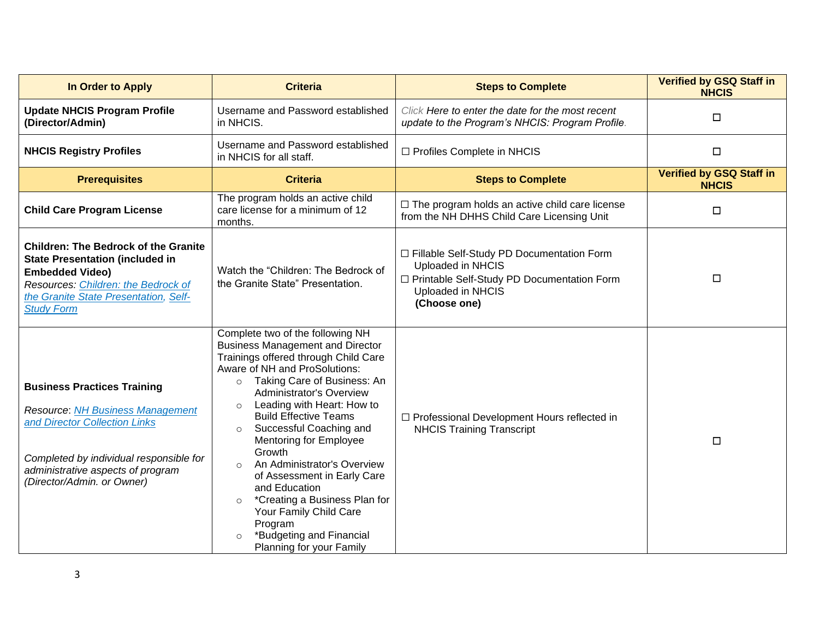| In Order to Apply                                                                                                                                                                                                            | <b>Criteria</b>                                                                                                                                                                                                                                                                                                                                                                                                                                                                                                                                                                                                                | <b>Steps to Complete</b>                                                                                                                              | <b>Verified by GSQ Staff in</b><br><b>NHCIS</b> |
|------------------------------------------------------------------------------------------------------------------------------------------------------------------------------------------------------------------------------|--------------------------------------------------------------------------------------------------------------------------------------------------------------------------------------------------------------------------------------------------------------------------------------------------------------------------------------------------------------------------------------------------------------------------------------------------------------------------------------------------------------------------------------------------------------------------------------------------------------------------------|-------------------------------------------------------------------------------------------------------------------------------------------------------|-------------------------------------------------|
| <b>Update NHCIS Program Profile</b><br>(Director/Admin)                                                                                                                                                                      | Username and Password established<br>in NHCIS.                                                                                                                                                                                                                                                                                                                                                                                                                                                                                                                                                                                 | Click Here to enter the date for the most recent<br>update to the Program's NHCIS: Program Profile.                                                   | $\Box$                                          |
| <b>NHCIS Registry Profiles</b>                                                                                                                                                                                               | Username and Password established<br>in NHCIS for all staff.                                                                                                                                                                                                                                                                                                                                                                                                                                                                                                                                                                   | □ Profiles Complete in NHCIS                                                                                                                          | $\Box$                                          |
| <b>Prerequisites</b>                                                                                                                                                                                                         | <b>Criteria</b>                                                                                                                                                                                                                                                                                                                                                                                                                                                                                                                                                                                                                | <b>Steps to Complete</b>                                                                                                                              | <b>Verified by GSQ Staff in</b><br><b>NHCIS</b> |
| <b>Child Care Program License</b>                                                                                                                                                                                            | The program holds an active child<br>care license for a minimum of 12<br>months.                                                                                                                                                                                                                                                                                                                                                                                                                                                                                                                                               | $\Box$ The program holds an active child care license<br>from the NH DHHS Child Care Licensing Unit                                                   | $\Box$                                          |
| <b>Children: The Bedrock of the Granite</b><br><b>State Presentation (included in</b><br><b>Embedded Video)</b><br>Resources: Children: the Bedrock of<br>the Granite State Presentation, Self-<br><b>Study Form</b>         | Watch the "Children: The Bedrock of<br>the Granite State" Presentation.                                                                                                                                                                                                                                                                                                                                                                                                                                                                                                                                                        | □ Fillable Self-Study PD Documentation Form<br>Uploaded in NHCIS<br>□ Printable Self-Study PD Documentation Form<br>Uploaded in NHCIS<br>(Choose one) | $\Box$                                          |
| <b>Business Practices Training</b><br><b>Resource: NH Business Management</b><br>and Director Collection Links<br>Completed by individual responsible for<br>administrative aspects of program<br>(Director/Admin. or Owner) | Complete two of the following NH<br><b>Business Management and Director</b><br>Trainings offered through Child Care<br>Aware of NH and ProSolutions:<br>Taking Care of Business: An<br>$\circ$<br><b>Administrator's Overview</b><br>Leading with Heart: How to<br>$\circ$<br><b>Build Effective Teams</b><br>Successful Coaching and<br>$\circ$<br><b>Mentoring for Employee</b><br>Growth<br>An Administrator's Overview<br>$\circ$<br>of Assessment in Early Care<br>and Education<br>*Creating a Business Plan for<br>$\circ$<br>Your Family Child Care<br>Program<br>*Budgeting and Financial<br>Planning for your Family | □ Professional Development Hours reflected in<br><b>NHCIS Training Transcript</b>                                                                     | $\Box$                                          |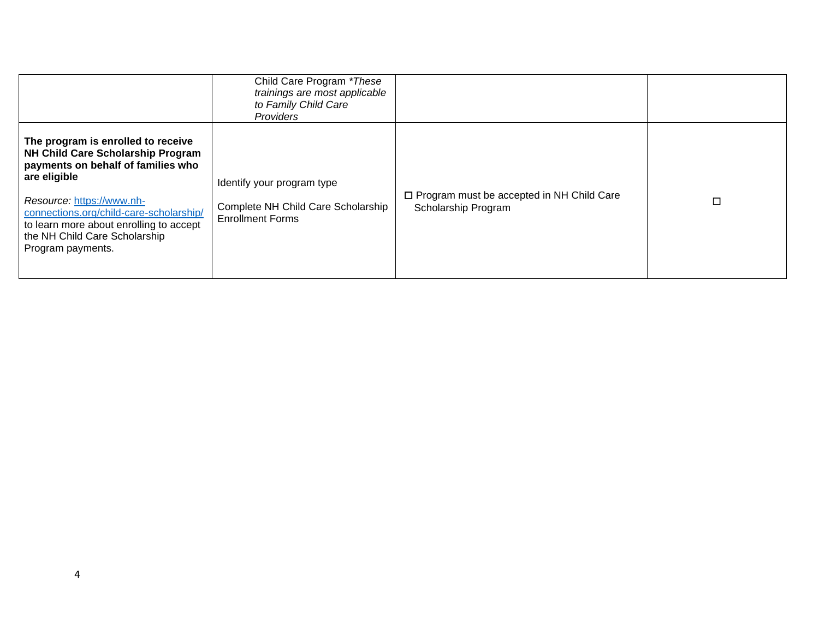|                                                                                                                                                                                                                                                                                                        | Child Care Program *These<br>trainings are most applicable<br>to Family Child Care<br>Providers |                                                                         |  |
|--------------------------------------------------------------------------------------------------------------------------------------------------------------------------------------------------------------------------------------------------------------------------------------------------------|-------------------------------------------------------------------------------------------------|-------------------------------------------------------------------------|--|
| The program is enrolled to receive<br>NH Child Care Scholarship Program<br>payments on behalf of families who<br>are eligible<br>Resource: https://www.nh-<br>connections.org/child-care-scholarship/<br>to learn more about enrolling to accept<br>the NH Child Care Scholarship<br>Program payments. | Identify your program type<br>Complete NH Child Care Scholarship<br><b>Enrollment Forms</b>     | $\Box$ Program must be accepted in NH Child Care<br>Scholarship Program |  |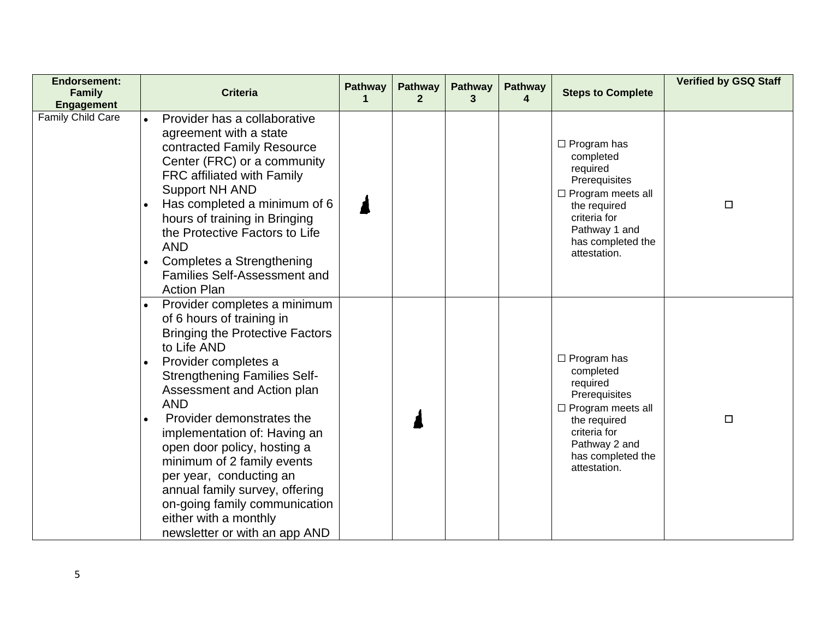| <b>Endorsement:</b><br><b>Family</b><br><b>Engagement</b> | <b>Criteria</b>                                                                                                                                                                                                                                                                                                                                                                                                                                                                                                 | <b>Pathway</b><br>1 | <b>Pathway</b><br>2 | <b>Pathway</b><br>3 | <b>Pathway</b><br>4 | <b>Steps to Complete</b>                                                                                                                                                       | <b>Verified by GSQ Staff</b> |
|-----------------------------------------------------------|-----------------------------------------------------------------------------------------------------------------------------------------------------------------------------------------------------------------------------------------------------------------------------------------------------------------------------------------------------------------------------------------------------------------------------------------------------------------------------------------------------------------|---------------------|---------------------|---------------------|---------------------|--------------------------------------------------------------------------------------------------------------------------------------------------------------------------------|------------------------------|
| Family Child Care                                         | Provider has a collaborative<br>agreement with a state<br>contracted Family Resource<br>Center (FRC) or a community<br>FRC affiliated with Family<br><b>Support NH AND</b><br>Has completed a minimum of 6<br>hours of training in Bringing<br>the Protective Factors to Life<br><b>AND</b><br>Completes a Strengthening<br><b>Families Self-Assessment and</b><br><b>Action Plan</b>                                                                                                                           |                     |                     |                     |                     | $\Box$ Program has<br>completed<br>required<br>Prerequisites<br>$\Box$ Program meets all<br>the required<br>criteria for<br>Pathway 1 and<br>has completed the<br>attestation. | $\Box$                       |
|                                                           | Provider completes a minimum<br>of 6 hours of training in<br><b>Bringing the Protective Factors</b><br>to Life AND<br>Provider completes a<br><b>Strengthening Families Self-</b><br>Assessment and Action plan<br><b>AND</b><br>Provider demonstrates the<br>implementation of: Having an<br>open door policy, hosting a<br>minimum of 2 family events<br>per year, conducting an<br>annual family survey, offering<br>on-going family communication<br>either with a monthly<br>newsletter or with an app AND |                     |                     |                     |                     | $\Box$ Program has<br>completed<br>required<br>Prerequisites<br>$\Box$ Program meets all<br>the required<br>criteria for<br>Pathway 2 and<br>has completed the<br>attestation. | $\Box$                       |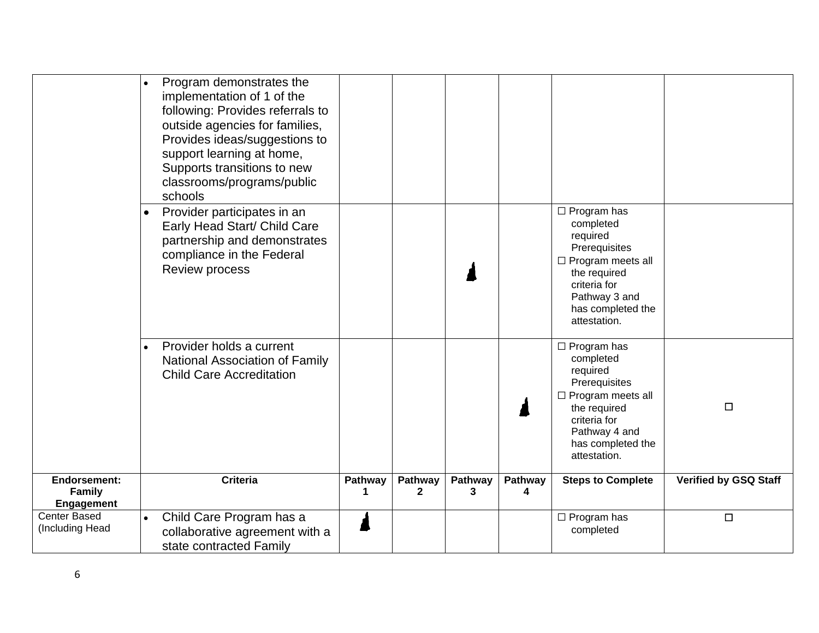|                                                           | Program demonstrates the<br>implementation of 1 of the<br>following: Provides referrals to<br>outside agencies for families,<br>Provides ideas/suggestions to<br>support learning at home,<br>Supports transitions to new<br>classrooms/programs/public<br>schools |              |              |              |              |                                                                                                                                                                                |                              |
|-----------------------------------------------------------|--------------------------------------------------------------------------------------------------------------------------------------------------------------------------------------------------------------------------------------------------------------------|--------------|--------------|--------------|--------------|--------------------------------------------------------------------------------------------------------------------------------------------------------------------------------|------------------------------|
|                                                           | Provider participates in an<br>$\bullet$<br>Early Head Start/ Child Care<br>partnership and demonstrates<br>compliance in the Federal<br><b>Review process</b>                                                                                                     |              |              |              |              | $\Box$ Program has<br>completed<br>required<br>Prerequisites<br>$\Box$ Program meets all<br>the required<br>criteria for<br>Pathway 3 and<br>has completed the<br>attestation. |                              |
|                                                           | Provider holds a current<br>$\bullet$<br><b>National Association of Family</b><br><b>Child Care Accreditation</b>                                                                                                                                                  |              |              |              |              | $\Box$ Program has<br>completed<br>required<br>Prerequisites<br>$\Box$ Program meets all<br>the required<br>criteria for<br>Pathway 4 and<br>has completed the<br>attestation. | $\Box$                       |
| <b>Endorsement:</b><br><b>Family</b><br><b>Engagement</b> | <b>Criteria</b>                                                                                                                                                                                                                                                    | Pathway<br>1 | Pathway<br>2 | Pathway<br>3 | Pathway<br>4 | <b>Steps to Complete</b>                                                                                                                                                       | <b>Verified by GSQ Staff</b> |
| Center Based<br>(Including Head                           | Child Care Program has a<br>$\bullet$<br>collaborative agreement with a<br>state contracted Family                                                                                                                                                                 |              |              |              |              | $\Box$ Program has<br>completed                                                                                                                                                | $\Box$                       |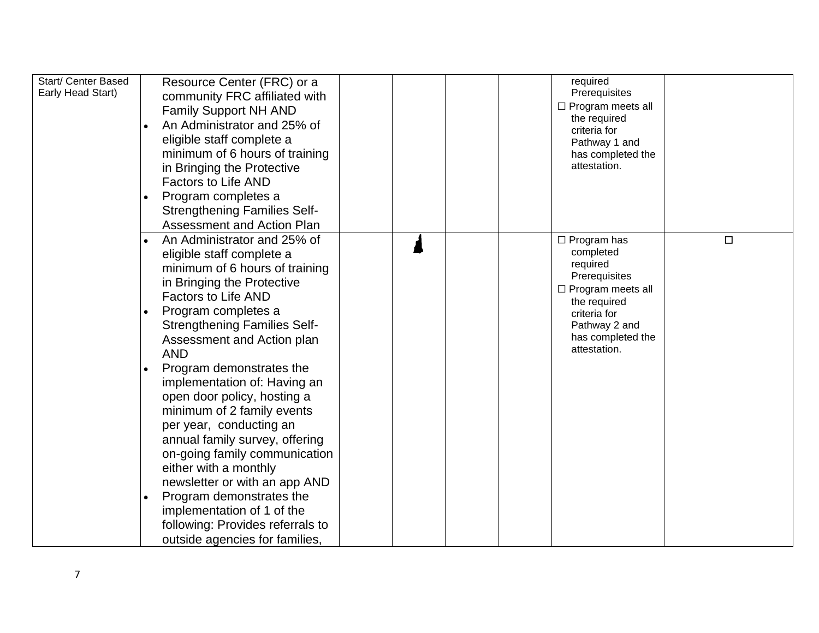| Start/ Center Based<br>Early Head Start) | Resource Center (FRC) or a<br>community FRC affiliated with<br><b>Family Support NH AND</b><br>An Administrator and 25% of<br>eligible staff complete a<br>minimum of 6 hours of training<br>in Bringing the Protective<br><b>Factors to Life AND</b><br>Program completes a<br><b>Strengthening Families Self-</b><br><b>Assessment and Action Plan</b>                                                                                                                                                                                                                                                                                                                          | required<br>Prerequisites<br>$\Box$ Program meets all<br>the required<br>criteria for<br>Pathway 1 and<br>has completed the<br>attestation.                                    |        |
|------------------------------------------|-----------------------------------------------------------------------------------------------------------------------------------------------------------------------------------------------------------------------------------------------------------------------------------------------------------------------------------------------------------------------------------------------------------------------------------------------------------------------------------------------------------------------------------------------------------------------------------------------------------------------------------------------------------------------------------|--------------------------------------------------------------------------------------------------------------------------------------------------------------------------------|--------|
|                                          | An Administrator and 25% of<br>eligible staff complete a<br>minimum of 6 hours of training<br>in Bringing the Protective<br><b>Factors to Life AND</b><br>Program completes a<br><b>Strengthening Families Self-</b><br>Assessment and Action plan<br><b>AND</b><br>Program demonstrates the<br>implementation of: Having an<br>open door policy, hosting a<br>minimum of 2 family events<br>per year, conducting an<br>annual family survey, offering<br>on-going family communication<br>either with a monthly<br>newsletter or with an app AND<br>Program demonstrates the<br>implementation of 1 of the<br>following: Provides referrals to<br>outside agencies for families, | $\Box$ Program has<br>completed<br>required<br>Prerequisites<br>$\Box$ Program meets all<br>the required<br>criteria for<br>Pathway 2 and<br>has completed the<br>attestation. | $\Box$ |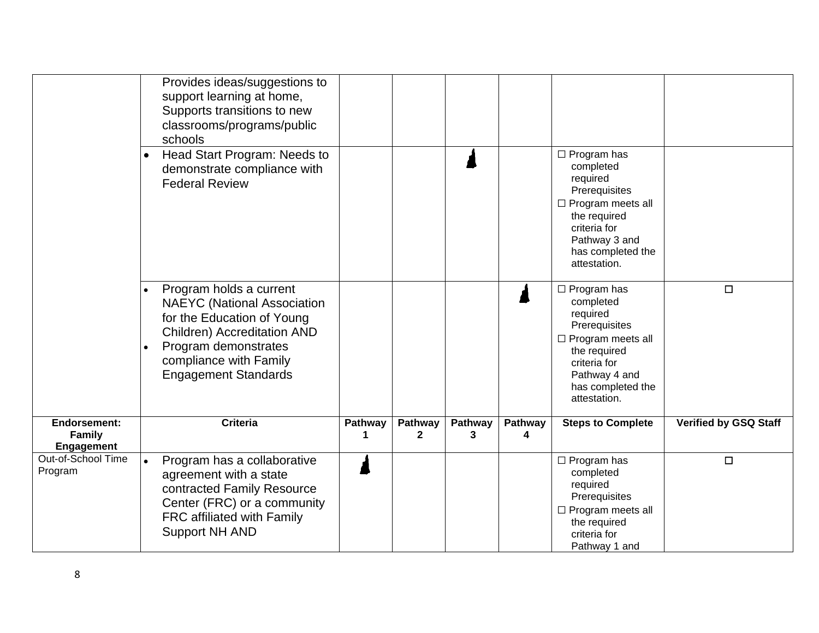|                                                           | Provides ideas/suggestions to<br>support learning at home,<br>Supports transitions to new<br>classrooms/programs/public<br>schools                                                                                 |         |                         |              |              |                                                                                                                                                                                |                              |
|-----------------------------------------------------------|--------------------------------------------------------------------------------------------------------------------------------------------------------------------------------------------------------------------|---------|-------------------------|--------------|--------------|--------------------------------------------------------------------------------------------------------------------------------------------------------------------------------|------------------------------|
|                                                           | Head Start Program: Needs to<br>$\bullet$<br>demonstrate compliance with<br><b>Federal Review</b>                                                                                                                  |         |                         |              |              | $\Box$ Program has<br>completed<br>required<br>Prerequisites<br>$\Box$ Program meets all<br>the required<br>criteria for<br>Pathway 3 and<br>has completed the<br>attestation. |                              |
|                                                           | Program holds a current<br><b>NAEYC</b> (National Association<br>for the Education of Young<br><b>Children) Accreditation AND</b><br>Program demonstrates<br>compliance with Family<br><b>Engagement Standards</b> |         |                         |              |              | $\Box$ Program has<br>completed<br>required<br>Prerequisites<br>$\Box$ Program meets all<br>the required<br>criteria for<br>Pathway 4 and<br>has completed the<br>attestation. | $\Box$                       |
| <b>Endorsement:</b><br><b>Family</b><br><b>Engagement</b> | <b>Criteria</b>                                                                                                                                                                                                    | Pathway | Pathway<br>$\mathbf{2}$ | Pathway<br>3 | Pathway<br>4 | <b>Steps to Complete</b>                                                                                                                                                       | <b>Verified by GSQ Staff</b> |
| Out-of-School Time<br>Program                             | Program has a collaborative<br>$\bullet$<br>agreement with a state<br>contracted Family Resource<br>Center (FRC) or a community<br>FRC affiliated with Family<br><b>Support NH AND</b>                             |         |                         |              |              | $\Box$ Program has<br>completed<br>required<br>Prerequisites<br>$\Box$ Program meets all<br>the required<br>criteria for<br>Pathway 1 and                                      | $\Box$                       |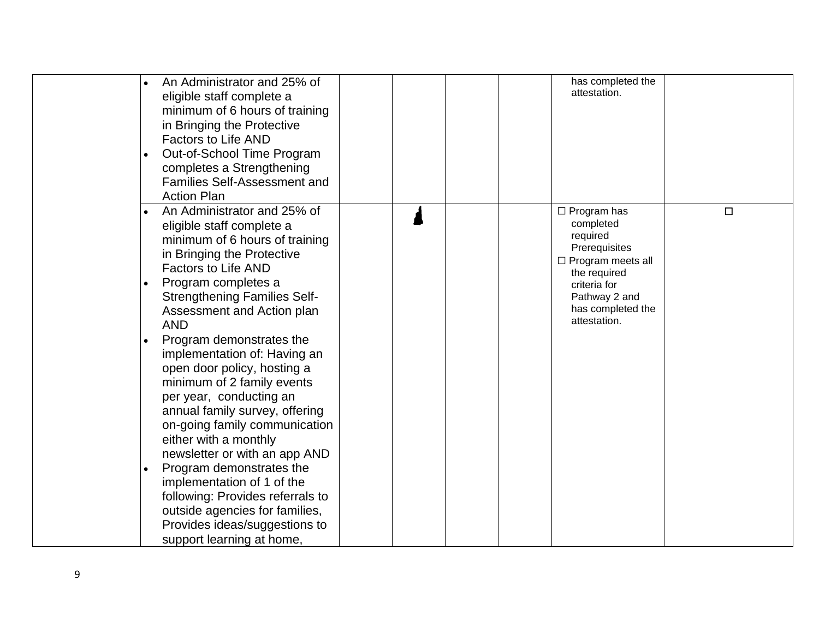|  | An Administrator and 25% of<br>eligible staff complete a<br>minimum of 6 hours of training<br>in Bringing the Protective<br><b>Factors to Life AND</b><br>Out-of-School Time Program<br>completes a Strengthening<br><b>Families Self-Assessment and</b><br><b>Action Plan</b>                                                                                                                                                                                                                                                                                                                                                                                                                                                                  |  |  | has completed the<br>attestation.                                                                                                                                              |        |
|--|-------------------------------------------------------------------------------------------------------------------------------------------------------------------------------------------------------------------------------------------------------------------------------------------------------------------------------------------------------------------------------------------------------------------------------------------------------------------------------------------------------------------------------------------------------------------------------------------------------------------------------------------------------------------------------------------------------------------------------------------------|--|--|--------------------------------------------------------------------------------------------------------------------------------------------------------------------------------|--------|
|  | An Administrator and 25% of<br>eligible staff complete a<br>minimum of 6 hours of training<br>in Bringing the Protective<br><b>Factors to Life AND</b><br>Program completes a<br><b>Strengthening Families Self-</b><br>Assessment and Action plan<br><b>AND</b><br>Program demonstrates the<br>implementation of: Having an<br>open door policy, hosting a<br>minimum of 2 family events<br>per year, conducting an<br>annual family survey, offering<br>on-going family communication<br>either with a monthly<br>newsletter or with an app AND<br>Program demonstrates the<br>implementation of 1 of the<br>following: Provides referrals to<br>outside agencies for families,<br>Provides ideas/suggestions to<br>support learning at home, |  |  | $\Box$ Program has<br>completed<br>required<br>Prerequisites<br>$\Box$ Program meets all<br>the required<br>criteria for<br>Pathway 2 and<br>has completed the<br>attestation. | $\Box$ |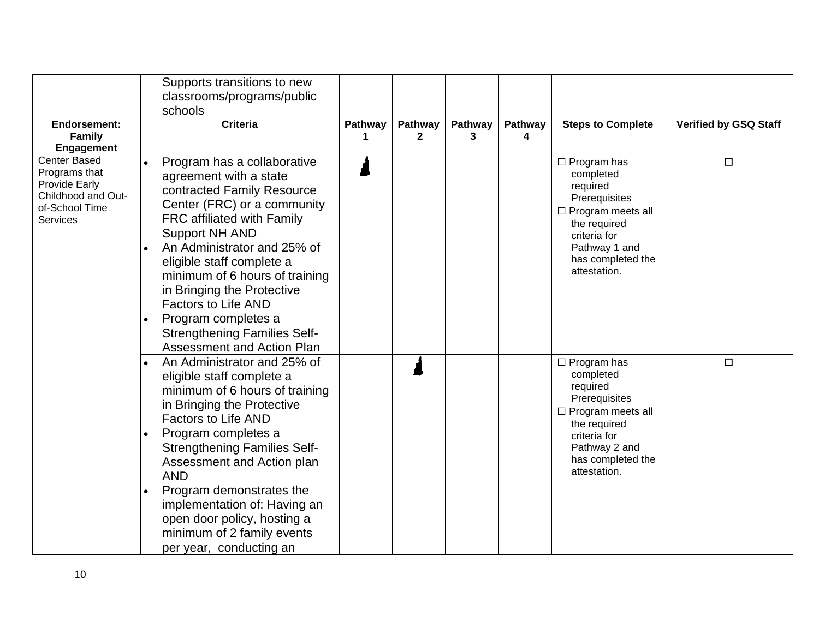|                                                                                                                                       | Supports transitions to new                                                                                                                                                                                                                                                                                                                                                                                                            |         |         |         |         |                                                                                                                                                                                |                              |
|---------------------------------------------------------------------------------------------------------------------------------------|----------------------------------------------------------------------------------------------------------------------------------------------------------------------------------------------------------------------------------------------------------------------------------------------------------------------------------------------------------------------------------------------------------------------------------------|---------|---------|---------|---------|--------------------------------------------------------------------------------------------------------------------------------------------------------------------------------|------------------------------|
|                                                                                                                                       | classrooms/programs/public                                                                                                                                                                                                                                                                                                                                                                                                             |         |         |         |         |                                                                                                                                                                                |                              |
|                                                                                                                                       | schools                                                                                                                                                                                                                                                                                                                                                                                                                                |         |         |         |         |                                                                                                                                                                                |                              |
| Endorsement:                                                                                                                          | <b>Criteria</b>                                                                                                                                                                                                                                                                                                                                                                                                                        | Pathway | Pathway | Pathway | Pathway | <b>Steps to Complete</b>                                                                                                                                                       | <b>Verified by GSQ Staff</b> |
| <b>Family</b>                                                                                                                         |                                                                                                                                                                                                                                                                                                                                                                                                                                        | 1       | 2       | 3       | 4       |                                                                                                                                                                                |                              |
| <b>Engagement</b><br><b>Center Based</b><br>Programs that<br><b>Provide Early</b><br>Childhood and Out-<br>of-School Time<br>Services | Program has a collaborative<br>agreement with a state<br>contracted Family Resource<br>Center (FRC) or a community<br>FRC affiliated with Family<br><b>Support NH AND</b><br>An Administrator and 25% of<br>eligible staff complete a<br>minimum of 6 hours of training<br>in Bringing the Protective<br><b>Factors to Life AND</b><br>Program completes a<br><b>Strengthening Families Self-</b><br><b>Assessment and Action Plan</b> |         |         |         |         | $\Box$ Program has<br>completed<br>required<br>Prerequisites<br>$\Box$ Program meets all<br>the required<br>criteria for<br>Pathway 1 and<br>has completed the<br>attestation. | $\Box$                       |
|                                                                                                                                       | An Administrator and 25% of<br>eligible staff complete a<br>minimum of 6 hours of training<br>in Bringing the Protective<br><b>Factors to Life AND</b><br>Program completes a<br><b>Strengthening Families Self-</b><br>Assessment and Action plan<br><b>AND</b><br>Program demonstrates the<br>implementation of: Having an<br>open door policy, hosting a<br>minimum of 2 family events<br>per year, conducting an                   |         |         |         |         | $\Box$ Program has<br>completed<br>required<br>Prerequisites<br>$\Box$ Program meets all<br>the required<br>criteria for<br>Pathway 2 and<br>has completed the<br>attestation. | $\Box$                       |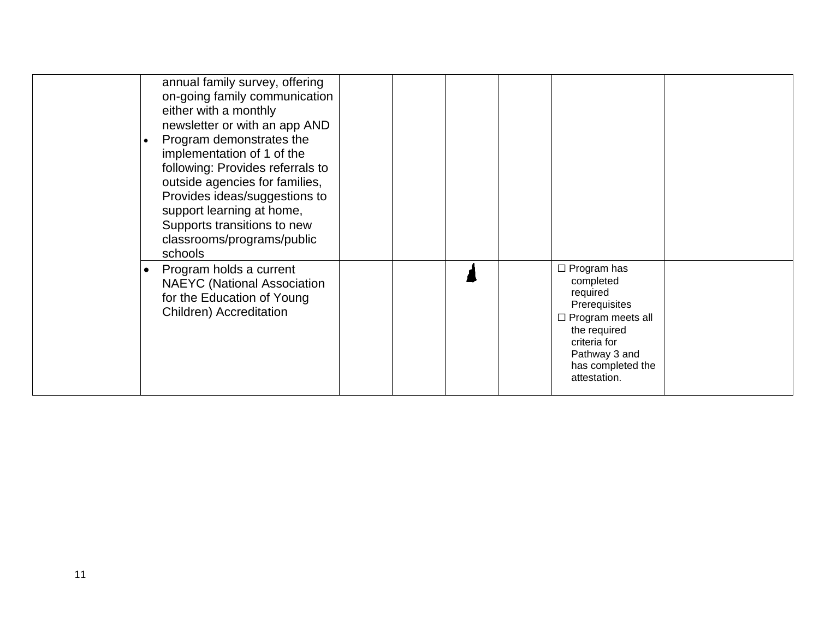|  | annual family survey, offering<br>on-going family communication<br>either with a monthly<br>newsletter or with an app AND<br>Program demonstrates the<br>implementation of 1 of the<br>following: Provides referrals to<br>outside agencies for families,<br>Provides ideas/suggestions to<br>support learning at home,<br>Supports transitions to new<br>classrooms/programs/public<br>schools |  |  |                                                                                                                                                                                |  |
|--|-------------------------------------------------------------------------------------------------------------------------------------------------------------------------------------------------------------------------------------------------------------------------------------------------------------------------------------------------------------------------------------------------|--|--|--------------------------------------------------------------------------------------------------------------------------------------------------------------------------------|--|
|  | Program holds a current<br><b>NAEYC</b> (National Association<br>for the Education of Young<br>Children) Accreditation                                                                                                                                                                                                                                                                          |  |  | $\Box$ Program has<br>completed<br>required<br>Prerequisites<br>$\Box$ Program meets all<br>the required<br>criteria for<br>Pathway 3 and<br>has completed the<br>attestation. |  |